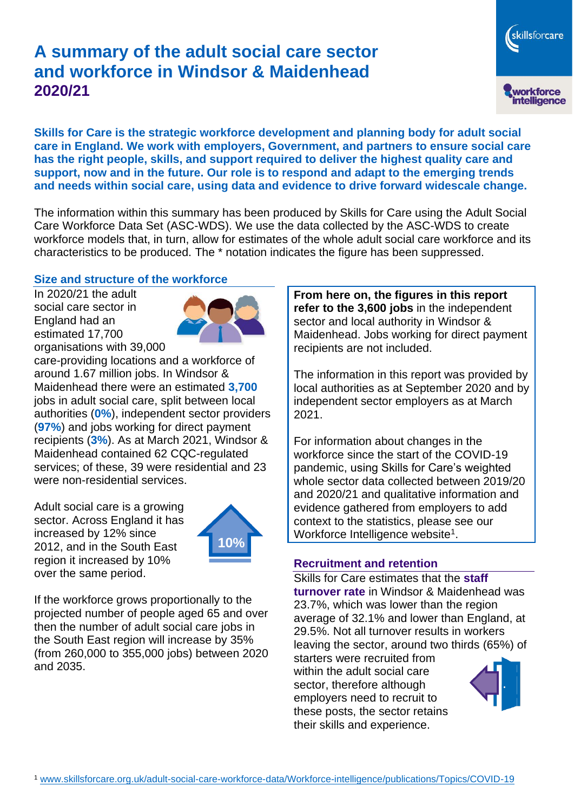# **A summary of the adult social care sector and workforce in Windsor & Maidenhead 2020/21**



**Skills for Care is the strategic workforce development and planning body for adult social care in England. We work with employers, Government, and partners to ensure social care has the right people, skills, and support required to deliver the highest quality care and support, now and in the future. Our role is to respond and adapt to the emerging trends and needs within social care, using data and evidence to drive forward widescale change.**

The information within this summary has been produced by Skills for Care using the Adult Social Care Workforce Data Set (ASC-WDS). We use the data collected by the ASC-WDS to create workforce models that, in turn, allow for estimates of the whole adult social care workforce and its characteristics to be produced. The \* notation indicates the figure has been suppressed.

#### **Size and structure of the workforce**

In 2020/21 the adult social care sector in England had an estimated 17,700 organisations with 39,000



care-providing locations and a workforce of around 1.67 million jobs. In Windsor & Maidenhead there were an estimated **3,700** jobs in adult social care, split between local authorities (**0%**), independent sector providers (**97%**) and jobs working for direct payment recipients (**3%**). As at March 2021, Windsor & Maidenhead contained 62 CQC-regulated services; of these, 39 were residential and 23 were non-residential services.

Adult social care is a growing sector. Across England it has increased by 12% since 2012, and in the South East region it increased by 10% over the same period.



If the workforce grows proportionally to the projected number of people aged 65 and over then the number of adult social care jobs in the South East region will increase by 35% (from 260,000 to 355,000 jobs) between 2020 and 2035.

**From here on, the figures in this report refer to the 3,600 jobs** in the independent sector and local authority in Windsor & Maidenhead. Jobs working for direct payment recipients are not included.

The information in this report was provided by local authorities as at September 2020 and by independent sector employers as at March 2021.

For information about changes in the workforce since the start of the COVID-19 pandemic, using Skills for Care's weighted whole sector data collected between 2019/20 and 2020/21 and qualitative information and evidence gathered from employers to add context to the statistics, please see our Workforce Intelligence website<sup>1</sup>.

#### **Recruitment and retention**

Skills for Care estimates that the **staff turnover rate** in Windsor & Maidenhead was 23.7%, which was lower than the region average of 32.1% and lower than England, at 29.5%. Not all turnover results in workers leaving the sector, around two thirds (65%) of

starters were recruited from within the adult social care sector, therefore although employers need to recruit to these posts, the sector retains their skills and experience.

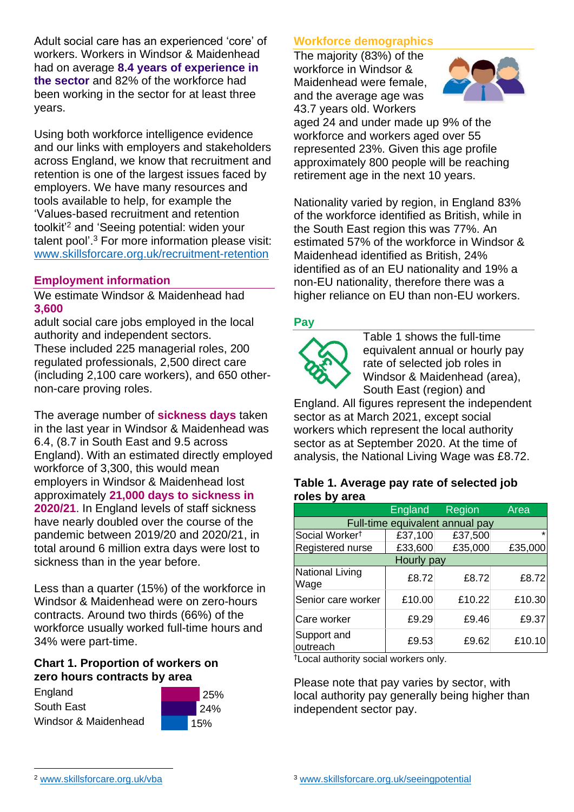Adult social care has an experienced 'core' of workers. Workers in Windsor & Maidenhead had on average **8.4 years of experience in the sector** and 82% of the workforce had been working in the sector for at least three years.

Using both workforce intelligence evidence and our links with employers and stakeholders across England, we know that recruitment and retention is one of the largest issues faced by employers. We have many resources and tools available to help, for example the 'Values-based recruitment and retention toolkit'<sup>2</sup> and 'Seeing potential: widen your talent pool'. <sup>3</sup> For more information please visit: [www.skillsforcare.org.uk/recruitment-retention](http://www.skillsforcare.org.uk/recruitment-retention)

#### **Employment information**

We estimate Windsor & Maidenhead had **3,600**

adult social care jobs employed in the local authority and independent sectors. These included 225 managerial roles, 200 regulated professionals, 2,500 direct care (including 2,100 care workers), and 650 othernon-care proving roles.

The average number of **sickness days** taken in the last year in Windsor & Maidenhead was 6.4, (8.7 in South East and 9.5 across England). With an estimated directly employed workforce of 3,300, this would mean employers in Windsor & Maidenhead lost approximately **21,000 days to sickness in 2020/21**. In England levels of staff sickness have nearly doubled over the course of the pandemic between 2019/20 and 2020/21, in total around 6 million extra days were lost to sickness than in the year before.

Less than a quarter (15%) of the workforce in Windsor & Maidenhead were on zero-hours contracts. Around two thirds (66%) of the workforce usually worked full-time hours and 34% were part-time.

#### **Chart 1. Proportion of workers on zero hours contracts by area**





## **Workforce demographics**

The majority (83%) of the workforce in Windsor & Maidenhead were female, and the average age was 43.7 years old. Workers



aged 24 and under made up 9% of the workforce and workers aged over 55 represented 23%. Given this age profile approximately 800 people will be reaching retirement age in the next 10 years.

Nationality varied by region, in England 83% of the workforce identified as British, while in the South East region this was 77%. An estimated 57% of the workforce in Windsor & Maidenhead identified as British, 24% identified as of an EU nationality and 19% a non-EU nationality, therefore there was a higher reliance on EU than non-EU workers.

#### **Pay**



Table 1 shows the full-time equivalent annual or hourly pay rate of selected job roles in Windsor & Maidenhead (area), South East (region) and

England. All figures represent the independent sector as at March 2021, except social workers which represent the local authority sector as at September 2020. At the time of analysis, the National Living Wage was £8.72.

#### **Table 1. Average pay rate of selected job roles by area**

|                                 | <b>England</b> | Region  | Area    |
|---------------------------------|----------------|---------|---------|
| Full-time equivalent annual pay |                |         |         |
| Social Worker <sup>†</sup>      | £37,100        | £37,500 | $\star$ |
| Registered nurse                | £33,600        | £35,000 | £35,000 |
| Hourly pay                      |                |         |         |
| <b>National Living</b><br>Wage  | £8.72          | £8.72   | £8.72   |
| Senior care worker              | £10.00         | £10.22  | £10.30  |
| Care worker                     | £9.29          | £9.46   | £9.37   |
| Support and<br>outreach         | £9.53          | £9.62   | £10.10  |

†Local authority social workers only.

Please note that pay varies by sector, with local authority pay generally being higher than independent sector pay.

[www.skillsforcare.org.uk/vba](http://www.skillsforcare.org.uk/vba)